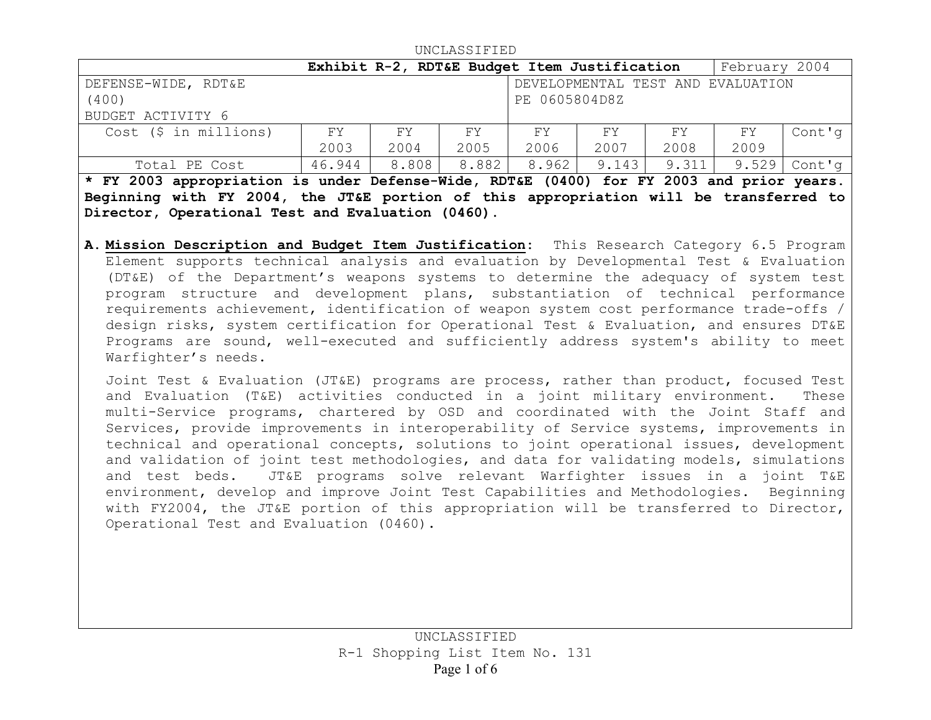| UNCLASSIFIED  |  |  |  |  |  |
|---------------|--|--|--|--|--|
| February 2004 |  |  |  |  |  |
|               |  |  |  |  |  |
|               |  |  |  |  |  |
|               |  |  |  |  |  |
| Cont'g        |  |  |  |  |  |
|               |  |  |  |  |  |
| $Cont'$ q     |  |  |  |  |  |
|               |  |  |  |  |  |

 $\cdots$ 

**\* FY 2003 appropriation is under Defense-Wide, RDT&E (0400) for FY 2003 and prior years. Beginning with FY 2004, the JT&E portion of this appropriation will be transferred to Director, Operational Test and Evaluation (0460).**

**A. Mission Description and Budget Item Justification:** This Research Category 6.5 Program Element supports technical analysis and evaluation by Developmental Test & Evaluation (DT&E) of the Department's weapons systems to determine the adequacy of system test program structure and development plans, substantiation of technical performance requirements achievement, identification of weapon system cost performance trade-offs / design risks, system certification for Operational Test & Evaluation, and ensures DT&E Programs are sound, well-executed and sufficiently address system's ability to meet Warfighter's needs.

Joint Test & Evaluation (JT&E) programs are process, rather than product, focused Test and Evaluation (T&E) activities conducted in a joint military environment. These multi-Service programs, chartered by OSD and coordinated with the Joint Staff and Services, provide improvements in interoperability of Service systems, improvements in technical and operational concepts, solutions to joint operational issues, development and validation of joint test methodologies, and data for validating models, simulations and test beds. JT&E programs solve relevant Warfighter issues in a joint T&E environment, develop and improve Joint Test Capabilities and Methodologies. Beginning with FY2004, the JT&E portion of this appropriation will be transferred to Director, Operational Test and Evaluation (0460).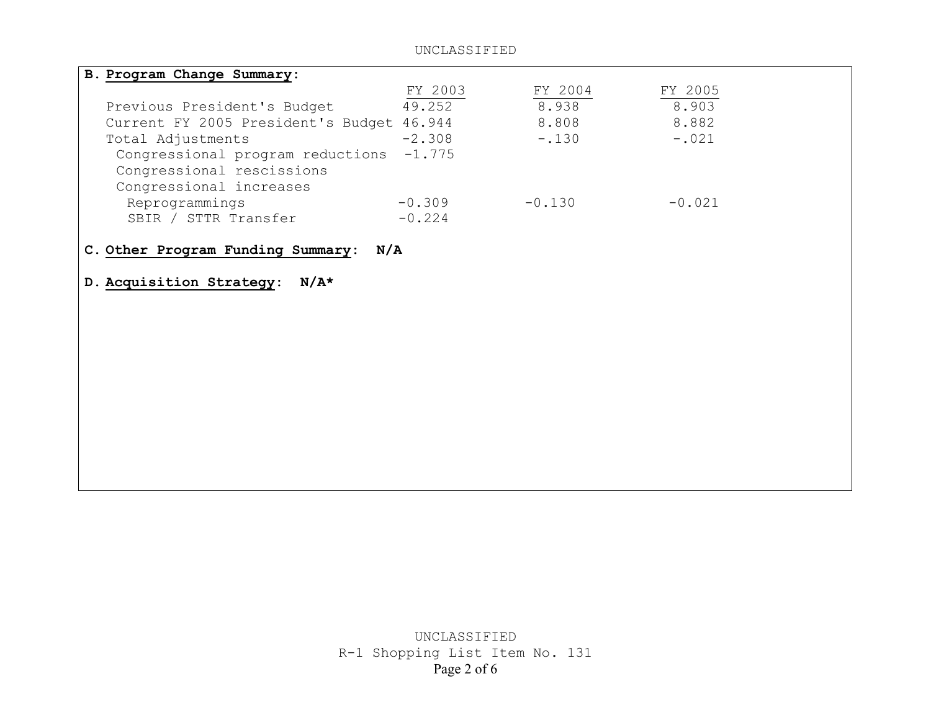#### UNCLASSIFIED

| B. Program Change Summary:                |          |          |          |  |
|-------------------------------------------|----------|----------|----------|--|
|                                           | FY 2003  | FY 2004  | FY 2005  |  |
| Previous President's Budget               | 49.252   | 8.938    | 8.903    |  |
| Current FY 2005 President's Budget 46.944 |          | 8.808    | 8.882    |  |
| Total Adjustments                         | $-2.308$ | $-.130$  | $-.021$  |  |
| Congressional program reductions -1.775   |          |          |          |  |
| Congressional rescissions                 |          |          |          |  |
| Congressional increases                   |          |          |          |  |
| Reprogrammings                            | $-0.309$ | $-0.130$ | $-0.021$ |  |
| SBIR / STTR Transfer                      | $-0.224$ |          |          |  |

## **C. Other Program Funding Summary: N/A**

#### **D. Acquisition Strategy: N/A\***

UNCLASSIFIED R-1 Shopping List Item No. 131 Page 2 of 6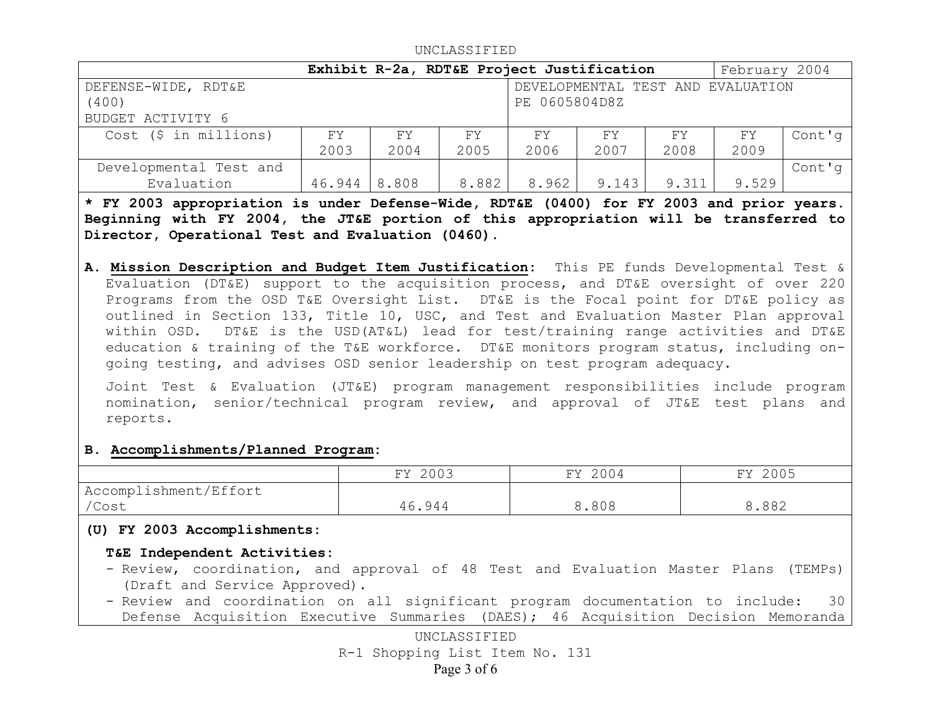|                         |        |       | Exhibit R-2a, RDT&E Project Justification |               |       |       | February 2004                     |        |
|-------------------------|--------|-------|-------------------------------------------|---------------|-------|-------|-----------------------------------|--------|
| DEFENSE-WIDE, RDT&E     |        |       |                                           |               |       |       | DEVELOPMENTAL TEST AND EVALUATION |        |
| (400)                   |        |       |                                           | PE 0605804D8Z |       |       |                                   |        |
| BUDGET ACTIVITY 6       |        |       |                                           |               |       |       |                                   |        |
| $Cost$ (\$ in millions) | FY.    | FY    | FY                                        | FY            | FY    | FY    | FY                                | Cont'g |
|                         | 2003   | 2004  | 2005                                      | 2006          | 2007  | 2008  | 2009                              |        |
| Developmental Test and  |        |       |                                           |               |       |       |                                   | Cont'g |
| Evaluation              | 46.944 | 8.808 | 8.882                                     | 8.962         | 9.143 | 9.311 | 9.529                             |        |

UNCLASSIFIED

**\* FY 2003 appropriation is under Defense-Wide, RDT&E (0400) for FY 2003 and prior years. Beginning with FY 2004, the JT&E portion of this appropriation will be transferred to Director, Operational Test and Evaluation (0460).**

**A. Mission Description and Budget Item Justification:** This PE funds Developmental Test & Evaluation (DT&E) support to the acquisition process, and DT&E oversight of over 220 Programs from the OSD T&E Oversight List. DT&E is the Focal point for DT&E policy as outlined in Section 133, Title 10, USC, and Test and Evaluation Master Plan approval within OSD. DT&E is the USD(AT&L) lead for test/training range activities and DT&E education & training of the T&E workforce. DT&E monitors program status, including ongoing testing, and advises OSD senior leadership on test program adequacy.

Joint Test & Evaluation (JT&E) program management responsibilities include program nomination, senior/technical program review, and approval of JT&E test plans and reports.

## **B. Accomplishments/Planned Program:**

|                        | FY 2003 | FY 2004 | 2005<br>FY |
|------------------------|---------|---------|------------|
| 'Accomplishment/Effort |         |         |            |
| /Cost                  | 46.944  | 8.808   | 8.882      |

## **(U) FY 2003 Accomplishments:**

# **T&E Independent Activities:**

- Review, coordination, and approval of 48 Test and Evaluation Master Plans (TEMPs) (Draft and Service Approved).
- Review and coordination on all significant program documentation to include: 30 Defense Acquisition Executive Summaries (DAES); 46 Acquisition Decision Memoranda

UNCLASSIFIED R-1 Shopping List Item No. 131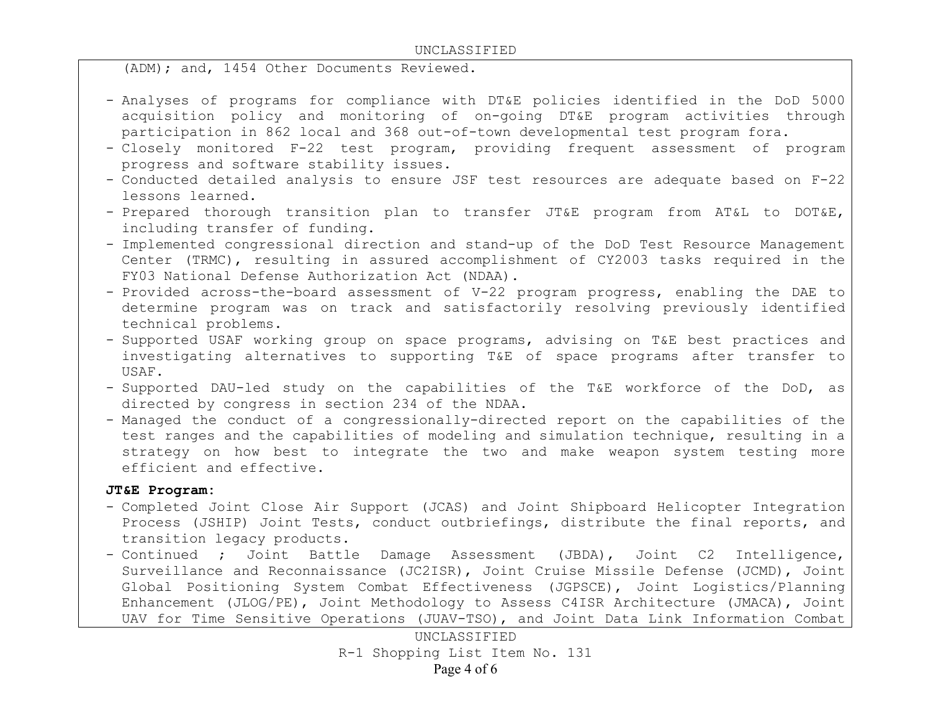#### UNCLASSIFIED

(ADM); and, 1454 Other Documents Reviewed.

- Analyses of programs for compliance with DT&E policies identified in the DoD 5000 acquisition policy and monitoring of on-going DT&E program activities through participation in 862 local and 368 out-of-town developmental test program fora.
- Closely monitored F-22 test program, providing frequent assessment of program progress and software stability issues.
- Conducted detailed analysis to ensure JSF test resources are adequate based on F-22 lessons learned.
- Prepared thorough transition plan to transfer JT&E program from AT&L to DOT&E, including transfer of funding.
- Implemented congressional direction and stand-up of the DoD Test Resource Management Center (TRMC), resulting in assured accomplishment of CY2003 tasks required in the FY03 National Defense Authorization Act (NDAA).
- Provided across-the-board assessment of V-22 program progress, enabling the DAE to determine program was on track and satisfactorily resolving previously identified technical problems.
- Supported USAF working group on space programs, advising on T&E best practices and investigating alternatives to supporting T&E of space programs after transfer to USAF.
- Supported DAU-led study on the capabilities of the T&E workforce of the DoD, as directed by congress in section 234 of the NDAA.
- Managed the conduct of a congressionally-directed report on the capabilities of the test ranges and the capabilities of modeling and simulation technique, resulting in a strategy on how best to integrate the two and make weapon system testing more efficient and effective.

## **JT&E Program:**

- Completed Joint Close Air Support (JCAS) and Joint Shipboard Helicopter Integration Process (JSHIP) Joint Tests, conduct outbriefings, distribute the final reports, and transition legacy products.
- Continued ; Joint Battle Damage Assessment (JBDA), Joint C2 Intelligence, Surveillance and Reconnaissance (JC2ISR), Joint Cruise Missile Defense (JCMD), Joint Global Positioning System Combat Effectiveness (JGPSCE), Joint Logistics/Planning Enhancement (JLOG/PE), Joint Methodology to Assess C4ISR Architecture (JMACA), Joint UAV for Time Sensitive Operations (JUAV-TSO), and Joint Data Link Information Combat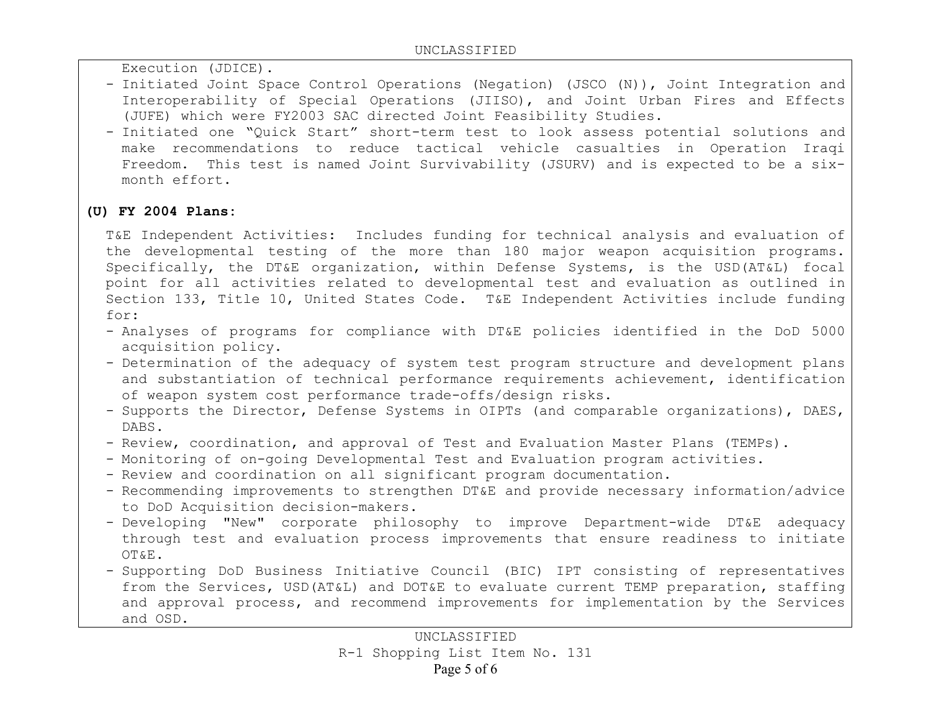Execution (JDICE).

- Initiated Joint Space Control Operations (Negation) (JSCO (N)), Joint Integration and Interoperability of Special Operations (JIISO), and Joint Urban Fires and Effects (JUFE) which were FY2003 SAC directed Joint Feasibility Studies.
- Initiated one "Quick Start" short-term test to look assess potential solutions and make recommendations to reduce tactical vehicle casualties in Operation Iraqi Freedom. This test is named Joint Survivability (JSURV) and is expected to be a sixmonth effort.

# **(U) FY 2004 Plans:**

T&E Independent Activities: Includes funding for technical analysis and evaluation of the developmental testing of the more than 180 major weapon acquisition programs. Specifically, the DT&E organization, within Defense Systems, is the USD(AT&L) focal point for all activities related to developmental test and evaluation as outlined in Section 133, Title 10, United States Code. T&E Independent Activities include funding for:

- Analyses of programs for compliance with DT&E policies identified in the DoD 5000 acquisition policy.
- Determination of the adequacy of system test program structure and development plans and substantiation of technical performance requirements achievement, identification of weapon system cost performance trade-offs/design risks.
- Supports the Director, Defense Systems in OIPTs (and comparable organizations), DAES, DABS.
- Review, coordination, and approval of Test and Evaluation Master Plans (TEMPs).
- Monitoring of on-going Developmental Test and Evaluation program activities.
- Review and coordination on all significant program documentation.
- Recommending improvements to strengthen DT&E and provide necessary information/advice to DoD Acquisition decision-makers.
- Developing "New" corporate philosophy to improve Department-wide DT&E adequacy through test and evaluation process improvements that ensure readiness to initiate OT&E.
- Supporting DoD Business Initiative Council (BIC) IPT consisting of representatives from the Services, USD(AT&L) and DOT&E to evaluate current TEMP preparation, staffing and approval process, and recommend improvements for implementation by the Services and OSD.